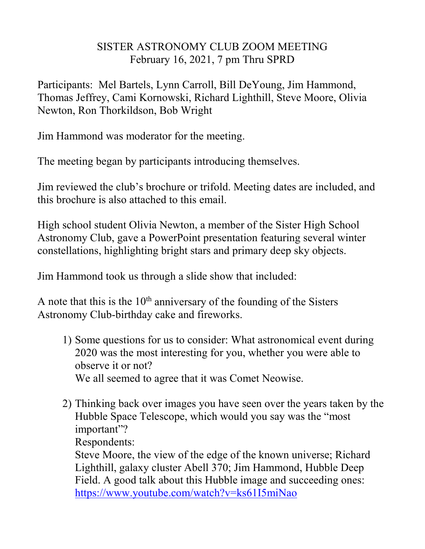## SISTER ASTRONOMY CLUB ZOOM MEETING February 16, 2021, 7 pm Thru SPRD

Participants: Mel Bartels, Lynn Carroll, Bill DeYoung, Jim Hammond, Thomas Jeffrey, Cami Kornowski, Richard Lighthill, Steve Moore, Olivia Newton, Ron Thorkildson, Bob Wright

Jim Hammond was moderator for the meeting.

The meeting began by participants introducing themselves.

Jim reviewed the club's brochure or trifold. Meeting dates are included, and this brochure is also attached to this email.

High school student Olivia Newton, a member of the Sister High School Astronomy Club, gave a PowerPoint presentation featuring several winter constellations, highlighting bright stars and primary deep sky objects.

Jim Hammond took us through a slide show that included:

A note that this is the  $10<sup>th</sup>$  anniversary of the founding of the Sisters Astronomy Club-birthday cake and fireworks.

- 1) Some questions for us to consider: What astronomical event during 2020 was the most interesting for you, whether you were able to observe it or not? We all seemed to agree that it was Comet Neowise.
- 2) Thinking back over images you have seen over the years taken by the Hubble Space Telescope, which would you say was the "most important"? Respondents: Steve Moore, the view of the edge of the known universe; Richard

Lighthill, galaxy cluster Abell 370; Jim Hammond, Hubble Deep Field. A good talk about this Hubble image and succeeding ones: <https://www.youtube.com/watch?v=ks61I5miNao>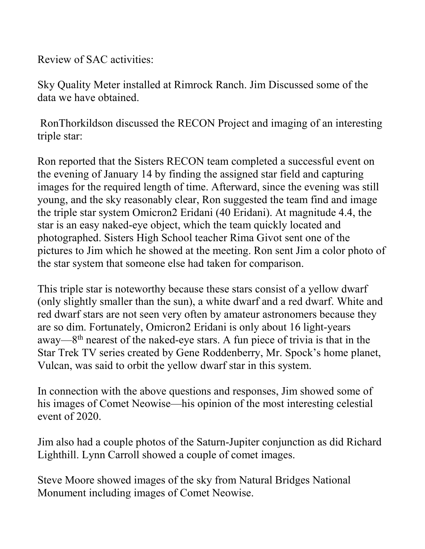Review of SAC activities:

Sky Quality Meter installed at Rimrock Ranch. Jim Discussed some of the data we have obtained.

RonThorkildson discussed the RECON Project and imaging of an interesting triple star:

Ron reported that the Sisters RECON team completed a successful event on the evening of January 14 by finding the assigned star field and capturing images for the required length of time. Afterward, since the evening was still young, and the sky reasonably clear, Ron suggested the team find and image the triple star system Omicron2 Eridani (40 Eridani). At magnitude 4.4, the star is an easy naked-eye object, which the team quickly located and photographed. Sisters High School teacher Rima Givot sent one of the pictures to Jim which he showed at the meeting. Ron sent Jim a color photo of the star system that someone else had taken for comparison.

This triple star is noteworthy because these stars consist of a yellow dwarf (only slightly smaller than the sun), a white dwarf and a red dwarf. White and red dwarf stars are not seen very often by amateur astronomers because they are so dim. Fortunately, Omicron2 Eridani is only about 16 light-years away—8th nearest of the naked-eye stars. A fun piece of trivia is that in the Star Trek TV series created by Gene Roddenberry, Mr. Spock's home planet, Vulcan, was said to orbit the yellow dwarf star in this system.

In connection with the above questions and responses, Jim showed some of his images of Comet Neowise—his opinion of the most interesting celestial event of 2020.

Jim also had a couple photos of the Saturn-Jupiter conjunction as did Richard Lighthill. Lynn Carroll showed a couple of comet images.

Steve Moore showed images of the sky from Natural Bridges National Monument including images of Comet Neowise.